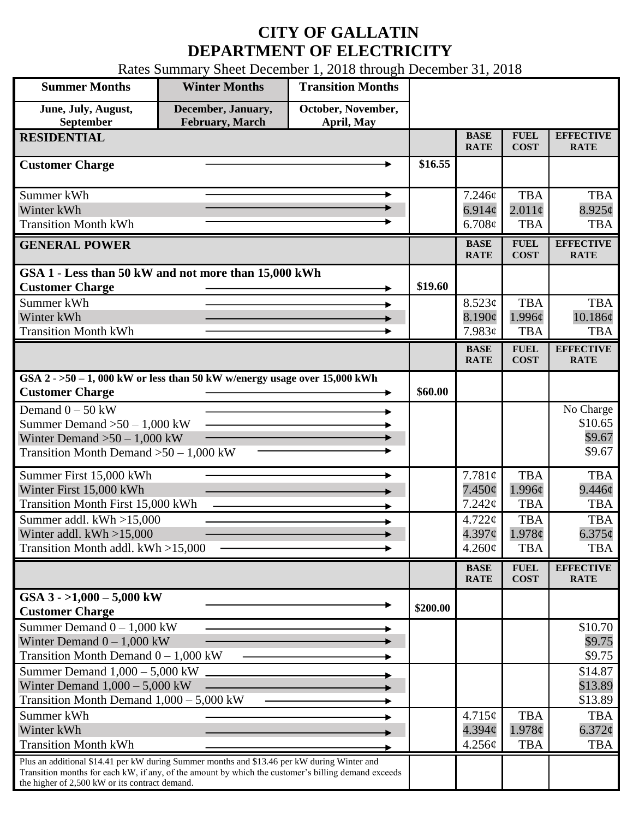## **CITY OF GALLATIN DEPARTMENT OF ELECTRICITY**

Rates Summary Sheet December 1, 2018 through December 31, 2018

| <b>Summer Months</b>                                                                                                                                                                                                                                 | <b>Winter Months</b>                         | <b>Transition Months</b>         |          |                                        |                                    |                                          |
|------------------------------------------------------------------------------------------------------------------------------------------------------------------------------------------------------------------------------------------------------|----------------------------------------------|----------------------------------|----------|----------------------------------------|------------------------------------|------------------------------------------|
| June, July, August,<br>September                                                                                                                                                                                                                     | December, January,<br><b>February, March</b> | October, November,<br>April, May |          |                                        |                                    |                                          |
| <b>RESIDENTIAL</b>                                                                                                                                                                                                                                   |                                              |                                  |          | <b>BASE</b><br><b>RATE</b>             | <b>FUEL</b><br><b>COST</b>         | <b>EFFECTIVE</b><br><b>RATE</b>          |
| <b>Customer Charge</b>                                                                                                                                                                                                                               |                                              |                                  | \$16.55  |                                        |                                    |                                          |
| Summer kWh<br>Winter kWh<br><b>Transition Month kWh</b>                                                                                                                                                                                              |                                              | ►                                |          | 7.246¢<br>6.914 $\phi$<br>6.708¢       | TBA<br>$2.011\phi$<br><b>TBA</b>   | <b>TBA</b><br>$8.925\phi$<br><b>TBA</b>  |
| <b>GENERAL POWER</b>                                                                                                                                                                                                                                 |                                              |                                  |          | <b>BASE</b><br><b>RATE</b>             | <b>FUEL</b><br><b>COST</b>         | <b>EFFECTIVE</b><br><b>RATE</b>          |
| GSA 1 - Less than 50 kW and not more than 15,000 kWh<br><b>Customer Charge</b>                                                                                                                                                                       |                                              |                                  | \$19.60  |                                        |                                    |                                          |
| Summer kWh<br>Winter kWh<br><b>Transition Month kWh</b>                                                                                                                                                                                              |                                              |                                  |          | 8.523¢<br>8.190¢<br>7.983¢             | <b>TBA</b><br>1.996¢<br><b>TBA</b> | <b>TBA</b><br>10.186¢<br><b>TBA</b>      |
|                                                                                                                                                                                                                                                      |                                              |                                  |          | <b>BASE</b><br><b>RATE</b>             | <b>FUEL</b><br><b>COST</b>         | <b>EFFECTIVE</b><br><b>RATE</b>          |
| GSA $2 - 50 - 1$ , 000 kW or less than 50 kW w/energy usage over 15,000 kWh<br><b>Customer Charge</b>                                                                                                                                                |                                              |                                  | \$60.00  |                                        |                                    |                                          |
| Demand $0 - 50$ kW<br>Summer Demand $>50 - 1,000$ kW<br>Winter Demand $>50-1,000$ kW<br>Transition Month Demand $>50-1,000$ kW                                                                                                                       |                                              |                                  |          |                                        |                                    | No Charge<br>\$10.65<br>\$9.67<br>\$9.67 |
| Summer First 15,000 kWh<br>Winter First 15,000 kWh<br>Transition Month First 15,000 kWh                                                                                                                                                              |                                              |                                  |          | 7.781¢<br>$7.450\phi$<br>7.242¢        | <b>TBA</b><br>1.996¢<br><b>TBA</b> | <b>TBA</b><br>9.446¢<br><b>TBA</b>       |
| Summer addl. kWh >15,000<br>Winter addl. $kWh > 15,000$<br>Transition Month addl. kWh >15,000                                                                                                                                                        |                                              |                                  |          | 4.722¢<br>4.397¢<br>$4.260\phi$        | <b>TBA</b><br>1.978c<br><b>TBA</b> | <b>TBA</b><br>$6.375\phi$<br><b>TBA</b>  |
|                                                                                                                                                                                                                                                      |                                              |                                  |          | <b>BASE</b><br><b>RATE</b>             | <b>FUEL</b><br><b>COST</b>         | <b>EFFECTIVE</b><br><b>RATE</b>          |
| GSA $3 - 1,000 - 5,000$ kW<br><b>Customer Charge</b>                                                                                                                                                                                                 |                                              |                                  | \$200.00 |                                        |                                    |                                          |
| Summer Demand $0 - 1,000$ kW<br>Winter Demand $0 - 1,000$ kW<br>Transition Month Demand $0 - 1,000$ kW                                                                                                                                               |                                              |                                  |          |                                        |                                    | \$10.70<br>\$9.75<br>\$9.75              |
| Summer Demand $1,000 - 5,000$ kW<br>Winter Demand $1,000 - 5,000$ kW<br>Transition Month Demand $1,000 - 5,000$ kW                                                                                                                                   |                                              |                                  |          |                                        |                                    | \$14.87<br>\$13.89<br>\$13.89            |
| Summer kWh<br>Winter kWh<br><b>Transition Month kWh</b>                                                                                                                                                                                              |                                              |                                  |          | 4.715¢<br>$4.394\mathcal{C}$<br>4.256¢ | <b>TBA</b><br>1.978¢<br><b>TBA</b> | <b>TBA</b><br>$6.372\phi$<br><b>TBA</b>  |
| Plus an additional \$14.41 per kW during Summer months and \$13.46 per kW during Winter and<br>Transition months for each kW, if any, of the amount by which the customer's billing demand exceeds<br>the higher of 2,500 kW or its contract demand. |                                              |                                  |          |                                        |                                    |                                          |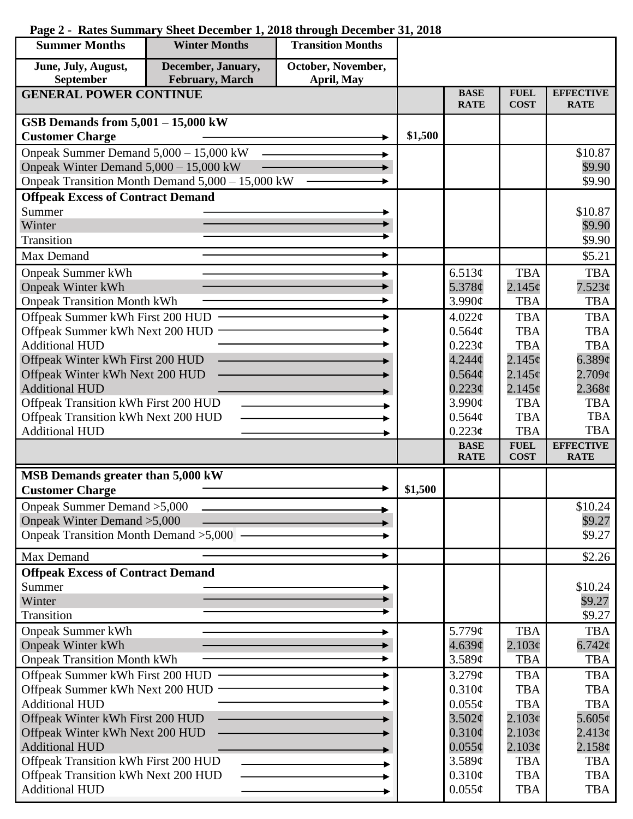| <b>Summer Months</b>                     | <b>Winter Months</b>                             | <b>Transition Months</b>         |         |                            |                            |                                 |
|------------------------------------------|--------------------------------------------------|----------------------------------|---------|----------------------------|----------------------------|---------------------------------|
| June, July, August,<br>September         | December, January,<br>February, March            | October, November,<br>April, May |         |                            |                            |                                 |
| <b>GENERAL POWER CONTINUE</b>            |                                                  |                                  |         | <b>BASE</b><br><b>RATE</b> | <b>FUEL</b><br><b>COST</b> | <b>EFFECTIVE</b><br><b>RATE</b> |
| GSB Demands from $5,001 - 15,000$ kW     |                                                  |                                  |         |                            |                            |                                 |
| <b>Customer Charge</b>                   |                                                  |                                  | \$1,500 |                            |                            |                                 |
| Onpeak Summer Demand 5,000 - 15,000 kW   |                                                  |                                  |         |                            |                            | \$10.87                         |
| Onpeak Winter Demand $5,000 - 15,000$ kW |                                                  |                                  |         |                            |                            | \$9.90                          |
|                                          | Onpeak Transition Month Demand 5,000 - 15,000 kW |                                  |         |                            |                            | \$9.90                          |
| <b>Offpeak Excess of Contract Demand</b> |                                                  |                                  |         |                            |                            |                                 |
| Summer                                   |                                                  |                                  |         |                            |                            | \$10.87                         |
| Winter                                   |                                                  |                                  |         |                            |                            | \$9.90                          |
| <b>Transition</b>                        |                                                  |                                  |         |                            |                            | \$9.90                          |
| Max Demand                               |                                                  |                                  |         |                            |                            | \$5.21                          |
| <b>Onpeak Summer kWh</b>                 |                                                  |                                  |         | 6.513¢                     | <b>TBA</b>                 | <b>TBA</b>                      |
| <b>Onpeak Winter kWh</b>                 |                                                  |                                  |         | 5.378¢                     | $2.145\phi$                | 7.523¢                          |
| <b>Onpeak Transition Month kWh</b>       |                                                  |                                  |         | 3.990¢                     | <b>TBA</b>                 | <b>TBA</b>                      |
| Offpeak Summer kWh First 200 HUD         |                                                  |                                  |         | 4.022¢                     | <b>TBA</b>                 | <b>TBA</b>                      |
| Offpeak Summer kWh Next 200 HUD          |                                                  |                                  |         | 0.564¢                     | <b>TBA</b>                 | <b>TBA</b>                      |
| <b>Additional HUD</b>                    |                                                  |                                  |         | $0.223\phi$                | <b>TBA</b>                 | <b>TBA</b>                      |
| Offpeak Winter kWh First 200 HUD         |                                                  |                                  |         | 4.244 <sub>c</sub>         | 2.145¢                     | 6.389¢                          |
| Offpeak Winter kWh Next 200 HUD          |                                                  |                                  |         | 0.564¢                     | 2.145c                     | 2.709¢                          |
| <b>Additional HUD</b>                    |                                                  |                                  |         | $0.223\phi$                | 2.145c                     | $2.368\phi$                     |
| Offpeak Transition kWh First 200 HUD     |                                                  |                                  |         | 3.990¢                     | <b>TBA</b>                 | <b>TBA</b>                      |
| Offpeak Transition kWh Next 200 HUD      |                                                  |                                  |         | 0.564¢                     | <b>TBA</b>                 | <b>TBA</b>                      |
| <b>Additional HUD</b>                    |                                                  |                                  |         | 0.223c                     | <b>TBA</b>                 | <b>TBA</b>                      |
|                                          |                                                  |                                  |         | <b>BASE</b><br><b>RATE</b> | <b>FUEL</b><br><b>COST</b> | <b>EFFECTIVE</b><br><b>RATE</b> |
| MSB Demands greater than 5,000 kW        |                                                  |                                  |         |                            |                            |                                 |
| <b>Customer Charge</b>                   |                                                  |                                  | \$1,500 |                            |                            |                                 |
| Onpeak Summer Demand > 5,000             |                                                  |                                  |         |                            |                            | \$10.24                         |
| Onpeak Winter Demand > 5,000             |                                                  |                                  |         |                            |                            | \$9.27                          |
| Onpeak Transition Month Demand > 5,000 – |                                                  |                                  |         |                            |                            | \$9.27                          |
| Max Demand                               |                                                  |                                  |         |                            |                            | \$2.26                          |
| <b>Offpeak Excess of Contract Demand</b> |                                                  |                                  |         |                            |                            |                                 |
| Summer                                   |                                                  |                                  |         |                            |                            | \$10.24                         |
| Winter                                   |                                                  |                                  |         |                            |                            | \$9.27                          |
| Transition                               |                                                  |                                  |         |                            |                            | \$9.27                          |
| <b>Onpeak Summer kWh</b>                 |                                                  |                                  |         | 5.779¢                     | <b>TBA</b>                 | <b>TBA</b>                      |
| <b>Onpeak Winter kWh</b>                 |                                                  |                                  |         | 4.639¢                     | 2.103¢                     | $6.742\varphi$                  |
| <b>Onpeak Transition Month kWh</b>       |                                                  |                                  |         | 3.589¢                     | <b>TBA</b>                 | <b>TBA</b>                      |
| Offpeak Summer kWh First 200 HUD         |                                                  |                                  |         | $3.279\mathcal{C}$         | <b>TBA</b>                 | <b>TBA</b>                      |
| Offpeak Summer kWh Next 200 HUD          |                                                  |                                  |         | 0.310¢                     | <b>TBA</b>                 | <b>TBA</b>                      |
| <b>Additional HUD</b>                    |                                                  |                                  |         | $0.055\phi$                | <b>TBA</b>                 | <b>TBA</b>                      |
| Offpeak Winter kWh First 200 HUD         |                                                  |                                  |         | 3.502¢                     | 2.103¢                     | $5.605\varphi$                  |
| Offpeak Winter kWh Next 200 HUD          |                                                  |                                  |         | $0.310\phi$                | 2.103¢                     | 2.413¢                          |
| <b>Additional HUD</b>                    |                                                  |                                  |         | $0.055\phi$                | 2.103¢                     | 2.158¢                          |
| Offpeak Transition kWh First 200 HUD     |                                                  |                                  |         | 3.589¢                     | <b>TBA</b>                 | <b>TBA</b>                      |
| Offpeak Transition kWh Next 200 HUD      |                                                  |                                  |         | 0.310¢                     | <b>TBA</b>                 | <b>TBA</b>                      |
| <b>Additional HUD</b>                    |                                                  |                                  |         | $0.055\phi$                | <b>TBA</b>                 | <b>TBA</b>                      |

## **Page 2 - Rates Summary Sheet December 1, 2018 through December 31, 2018**